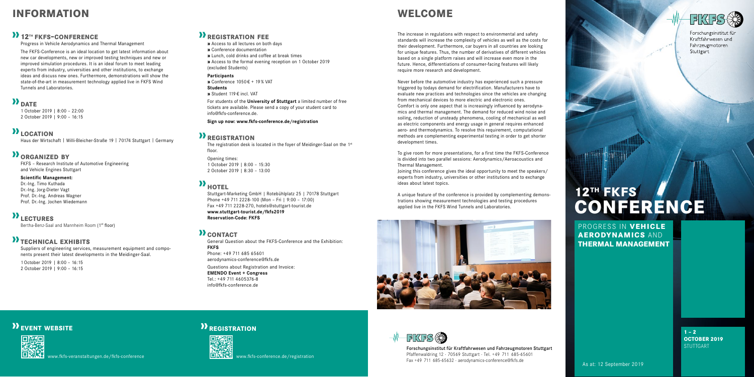PROGRESS IN **VEHICLE AERODYNAMICS** AND **THERMAL MANAGEMENT**

> **1 – 2 OCTOBER 2019 STUTTGART**

# **12TH FKFS CONFERENCE**

www.fkfs-conference.de/registration



www.fkfs-veranstaltungen.de/fkfs-conference

### *P* **REGISTRATION**



### **information**

### **12th fkfs-conference**

Progress in Vehicle Aerodynamics and Thermal Management

The FKFS-Conference is an ideal location to get latest information about new car developments, new or improved testing techniques and new or improved simulation procedures. It is an ideal forum to meet leading experts from industry, universities and other institutions, to exchange ideas and discuss new ones. Furthermore, demonstrations will show the state-of-the-art in measurement technology applied live in FKFS Wind Tunnels and Laboratories.

### **D**<br>DATE

1 October 2019 | 8:00 – 22:00 2 October 2019 | 9:00 – 16:15

### **D**<sub>LOCATION</sub>

Haus der Wirtschaft | Willi-Bleicher-Straße 19 | 70174 Stuttgart | Germany

### **organized by**

FKFS – Research Institute of Automotive Engineering and Vehicle Engines Stuttgart

The registration desk is located in the foyer of Meidinger-Saal on the 1<sup>st</sup> floor.

#### **Scientific Management:**

Dr.-Ing. Timo Kuthada Dr.-Ing. Jorg-Dieter Vagt Prof. Dr.-Ing. Andreas Wagner Prof. Dr.-Ing. Jochen Wiedemann

### **lectures**

Bertha-Benz-Saal and Mannheim Room (1st floor)

### **technical exhibits**

Suppliers of engineering services, measurement equipment and components present their latest developments in the Meidinger-Saal.

1 October 2019 | 8:00 – 16:15 2 October 2019 | 9:00 – 16:15

### **registration fee**

**»** Access to all lectures on both days

- **»** Conference documentation
- **»** Lunch, cold drinks and coffee at break times
- **»** Access to the formal evening reception on 1 October 2019 (excluded Students)

#### **Participants**

**»** Conference 1050 € + 19 % VAT

### **Students**

**»** Student 119 € incl. VAT

For students of the **University of Stuttgart** a limited number of free tickets are available. Please send a copy of your student card to info@fkfs-conference.de.

**Sign up now: www.fkfs-conference.de/registration**

### *P* **REGISTRATION**

Opening times: 1 October 2019 | 8:00 – 15:30 2 October 2019 | 8:30 – 13:00

## **h** HOTEL

Forschungsinstitut für Kraftfahrwesen und Fahrzeugmotoren Stuttgart Pfaffenwaldring 12 · 70569 Stuttgart · Tel. +49 711 685-65601 Fax +49 711 685-65632 · aerodynamics-conference@fkfs.de <br>As at: 12 September 2019



Forschungsinstitut für Kraftfahrwesen und Fahrzeugmotoren Stuttgart

Stuttgart-Marketing GmbH | Rotebühlplatz 25 | 70178 Stuttgart Phone +49 711 2228-100 (Mon – Fri | 9:00 – 17:00) Fax +49 711 2228-270, hotels@stuttgart-tourist.de **www.stuttgart-tourist.de/fkfs2019 Reservation-Code: FKFS**

### **D** CONTACT

General Question about the FKFS-Conference and the Exhibition: **FKFS** Phone: +49 711 685 65601

aerodynamics-conference@fkfs.de

#### Questions about Registration and Invoice:

**EMENDO Event + Congress** Tel.: +49 711 4605376-8 info@fkfs-conference.de

### **welcome**

The increase in regulations with respect to environmental and safety standards will increase the complexity of vehicles as well as the costs for their development. Furthermore, car buyers in all countries are looking for unique features. Thus, the number of derivatives of different vehicles based on a single platform raises and will increase even more in the future. Hence, differentiations of consumer-facing features will likely require more research and development.

Never before the automotive industry has experienced such a pressure triggered by todays demand for electrification. Manufacturers have to evaluate new practices and technologies since the vehicles are changing from mechanical devices to more electric and electronic ones. Comfort is only one aspect that is increasingly influenced by aerodynamics and thermal management. The demand for reduced wind noise and soiling, reduction of unsteady phenomena, cooling of mechanical as well as electric components and energy usage in general requires enhanced aero- and thermodynamics. To resolve this requirement, computational methods are complementing experimental testing in order to get shorter development times.

To give room for more presentations, for a first time the FKFS-Conference is divided into two parallel sessions: Aerodynamics/Aeroacoustics and Thermal Management.

Joining this conference gives the ideal opportunity to meet the speakers/ experts from industry, universities or other institutions and to exchange ideas about latest topics.

A unique feature of the conference is provided by complementing demonstrations showing measurement technologies and testing procedures applied live in the FKFS Wind Tunnels and Laboratories.



### **EVENT WEBSITE**